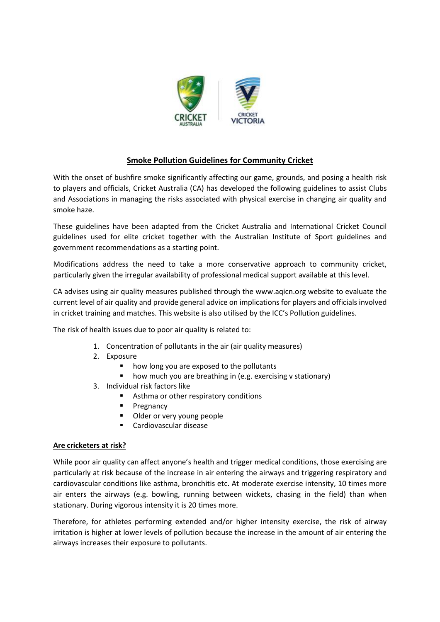

# **Smoke Pollution Guidelines for Community Cricket**

With the onset of bushfire smoke significantly affecting our game, grounds, and posing a health risk to players and officials, Cricket Australia (CA) has developed the following guidelines to assist Clubs and Associations in managing the risks associated with physical exercise in changing air quality and smoke haze.

These guidelines have been adapted from the Cricket Australia and International Cricket Council guidelines used for elite cricket together with the Australian Institute of Sport guidelines and government recommendations as a starting point.

Modifications address the need to take a more conservative approach to community cricket, particularly given the irregular availability of professional medical support available at this level.

CA advises using air quality measures published through the www.aqicn.org website to evaluate the current level of air quality and provide general advice on implications for players and officials involved in cricket training and matches. This website is also utilised by the ICC's Pollution guidelines.

The risk of health issues due to poor air quality is related to:

- 1. Concentration of pollutants in the air (air quality measures)
- 2. Exposure
	- how long you are exposed to the pollutants
	- how much you are breathing in (e.g. exercising v stationary)
- 3. Individual risk factors like
	- Asthma or other respiratory conditions
	- Pregnancy
	- Older or very young people
	- Cardiovascular disease

### **Are cricketers at risk?**

While poor air quality can affect anyone's health and trigger medical conditions, those exercising are particularly at risk because of the increase in air entering the airways and triggering respiratory and cardiovascular conditions like asthma, bronchitis etc. At moderate exercise intensity, 10 times more air enters the airways (e.g. bowling, running between wickets, chasing in the field) than when stationary. During vigorous intensity it is 20 times more.

Therefore, for athletes performing extended and/or higher intensity exercise, the risk of airway irritation is higher at lower levels of pollution because the increase in the amount of air entering the airways increases their exposure to pollutants.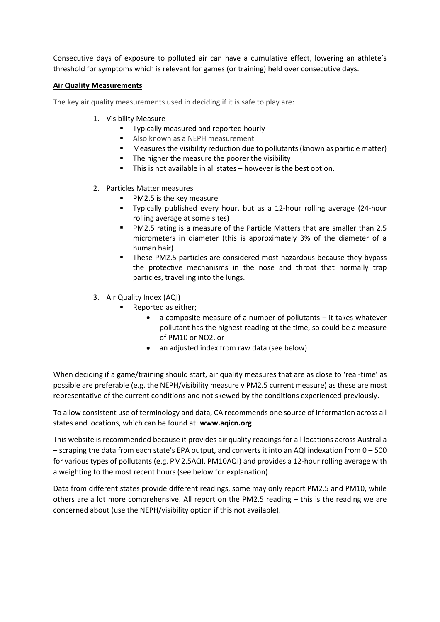Consecutive days of exposure to polluted air can have a cumulative effect, lowering an athlete's threshold for symptoms which is relevant for games (or training) held over consecutive days.

### **Air Quality Measurements**

The key air quality measurements used in deciding if it is safe to play are:

- 1. Visibility Measure
	- **■** Typically measured and reported hourly
	- Also known as a NEPH measurement
	- Measures the visibility reduction due to pollutants (known as particle matter)
	- The higher the measure the poorer the visibility
	- This is not available in all states however is the best option.
- 2. Particles Matter measures
	- PM2.5 is the key measure
	- Typically published every hour, but as a 12-hour rolling average (24-hour rolling average at some sites)
	- PM2.5 rating is a measure of the Particle Matters that are smaller than 2.5 micrometers in diameter (this is approximately 3% of the diameter of a human hair)
	- **EXECTE PM2.5 particles are considered most hazardous because they bypass** the protective mechanisms in the nose and throat that normally trap particles, travelling into the lungs.
- 3. Air Quality Index (AQI)
	- Reported as either;
		- a composite measure of a number of pollutants it takes whatever pollutant has the highest reading at the time, so could be a measure of PM10 or NO2, or
		- an adjusted index from raw data (see below)

When deciding if a game/training should start, air quality measures that are as close to 'real-time' as possible are preferable (e.g. the NEPH/visibility measure v PM2.5 current measure) as these are most representative of the current conditions and not skewed by the conditions experienced previously.

To allow consistent use of terminology and data, CA recommends one source of information across all states and locations, which can be found at: **[www.aqicn.org](http://www.aqicn.org/)**.

This website is recommended because it provides air quality readings for all locations across Australia – scraping the data from each state's EPA output, and converts it into an AQI indexation from 0 – 500 for various types of pollutants (e.g. PM2.5AQI, PM10AQI) and provides a 12-hour rolling average with a weighting to the most recent hours (see below for explanation).

Data from different states provide different readings, some may only report PM2.5 and PM10, while others are a lot more comprehensive. All report on the PM2.5 reading – this is the reading we are concerned about (use the NEPH/visibility option if this not available).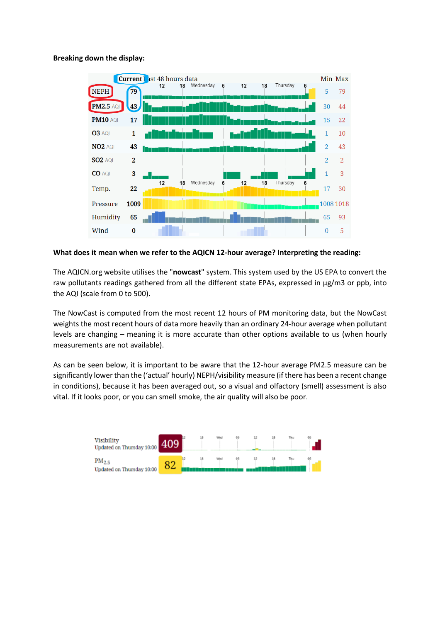### **Breaking down the display:**



#### **What does it mean when we refer to the AQICN 12-hour average? Interpreting the reading:**

The AQICN.org website utilises the "**nowcast**" system. This system used by the US EPA to convert the raw pollutants readings gathered from all the different state EPAs, expressed in µg/m3 or ppb, into the AQI (scale from 0 to 500).

The NowCast is computed from the most recent 12 hours of PM monitoring data, but the NowCast weights the most recent hours of data more heavily than an ordinary 24-hour average when pollutant levels are changing – meaning it is more accurate than other options available to us (when hourly measurements are not available).

As can be seen below, it is important to be aware that the 12-hour average PM2.5 measure can be significantly lower than the ('actual' hourly) NEPH/visibility measure (if there has been a recent change in conditions), because it has been averaged out, so a visual and olfactory (smell) assessment is also vital. If it looks poor, or you can smell smoke, the air quality will also be poor.

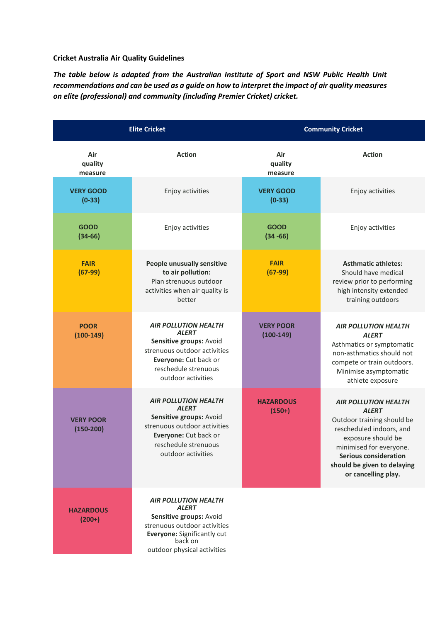### **Cricket Australia Air Quality Guidelines**

*The table below is adapted from the Australian Institute of Sport and NSW Public Health Unit recommendations and can be used as a guide on how to interpret the impact of air quality measures on elite (professional) and community (including Premier Cricket) cricket.*

| <b>Elite Cricket</b>            |                                                                                                                                                                                 | <b>Community Cricket</b>        |                                                                                                                                                                                                                                              |
|---------------------------------|---------------------------------------------------------------------------------------------------------------------------------------------------------------------------------|---------------------------------|----------------------------------------------------------------------------------------------------------------------------------------------------------------------------------------------------------------------------------------------|
| Air<br>quality<br>measure       | <b>Action</b>                                                                                                                                                                   | Air<br>quality<br>measure       | <b>Action</b>                                                                                                                                                                                                                                |
| <b>VERY GOOD</b><br>$(0-33)$    | Enjoy activities                                                                                                                                                                | <b>VERY GOOD</b><br>$(0-33)$    | Enjoy activities                                                                                                                                                                                                                             |
| <b>GOOD</b><br>$(34-66)$        | Enjoy activities                                                                                                                                                                | <b>GOOD</b><br>$(34 - 66)$      | Enjoy activities                                                                                                                                                                                                                             |
| <b>FAIR</b><br>$(67-99)$        | People unusually sensitive<br>to air pollution:<br>Plan strenuous outdoor<br>activities when air quality is<br>better                                                           | <b>FAIR</b><br>$(67-99)$        | <b>Asthmatic athletes:</b><br>Should have medical<br>review prior to performing<br>high intensity extended<br>training outdoors                                                                                                              |
| <b>POOR</b><br>$(100-149)$      | <b>AIR POLLUTION HEALTH</b><br><b>ALERT</b><br>Sensitive groups: Avoid<br>strenuous outdoor activities<br>Everyone: Cut back or<br>reschedule strenuous<br>outdoor activities   | <b>VERY POOR</b><br>$(100-149)$ | <b>AIR POLLUTION HEALTH</b><br><b>ALERT</b><br>Asthmatics or symptomatic<br>non-asthmatics should not<br>compete or train outdoors.<br>Minimise asymptomatic<br>athlete exposure                                                             |
| <b>VERY POOR</b><br>$(150-200)$ | <b>AIR POLLUTION HEALTH</b><br><b>ALERT</b><br>Sensitive groups: Avoid<br>strenuous outdoor activities<br>Everyone: Cut back or<br>reschedule strenuous<br>outdoor activities   | <b>HAZARDOUS</b><br>$(150+)$    | <b>AIR POLLUTION HEALTH</b><br><b>ALERT</b><br>Outdoor training should be<br>rescheduled indoors, and<br>exposure should be<br>minimised for everyone.<br><b>Serious consideration</b><br>should be given to delaying<br>or cancelling play. |
| <b>HAZARDOUS</b><br>$(200+)$    | <b>AIR POLLUTION HEALTH</b><br><b>ALERT</b><br>Sensitive groups: Avoid<br>strenuous outdoor activities<br>Everyone: Significantly cut<br>back on<br>outdoor physical activities |                                 |                                                                                                                                                                                                                                              |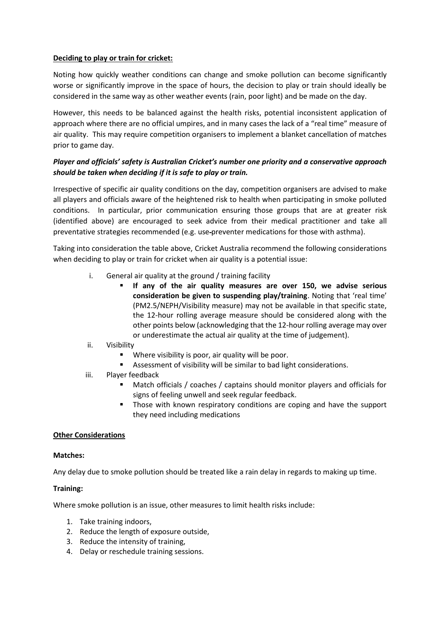### **Deciding to play or train for cricket:**

Noting how quickly weather conditions can change and smoke pollution can become significantly worse or significantly improve in the space of hours, the decision to play or train should ideally be considered in the same way as other weather events (rain, poor light) and be made on the day.

However, this needs to be balanced against the health risks, potential inconsistent application of approach where there are no official umpires, and in many cases the lack of a "real time" measure of air quality. This may require competition organisers to implement a blanket cancellation of matches prior to game day.

## *Player and officials' safety is Australian Cricket's number one priority and a conservative approach should be taken when deciding if it is safe to play or train.*

Irrespective of specific air quality conditions on the day, competition organisers are advised to make all players and officials aware of the heightened risk to health when participating in smoke polluted conditions. In particular, prior communication ensuring those groups that are at greater risk (identified above) are encouraged to seek advice from their medical practitioner and take all preventative strategies recommended (e.g. use preventer medications for those with asthma).

Taking into consideration the table above, Cricket Australia recommend the following considerations when deciding to play or train for cricket when air quality is a potential issue:

- i. General air quality at the ground / training facility
	- If any of the air quality measures are over 150, we advise serious **consideration be given to suspending play/training**. Noting that 'real time' (PM2.5/NEPH/Visibility measure) may not be available in that specific state, the 12-hour rolling average measure should be considered along with the other points below (acknowledging that the 12-hour rolling average may over or underestimate the actual air quality at the time of judgement).

### ii. Visibility

- Where visibility is poor, air quality will be poor.
- Assessment of visibility will be similar to bad light considerations.
- iii. Player feedback
	- Match officials / coaches / captains should monitor players and officials for signs of feeling unwell and seek regular feedback.
	- Those with known respiratory conditions are coping and have the support they need including medications

### **Other Considerations**

### **Matches:**

Any delay due to smoke pollution should be treated like a rain delay in regards to making up time.

### **Training:**

Where smoke pollution is an issue, other measures to limit health risks include:

- 1. Take training indoors,
- 2. Reduce the length of exposure outside,
- 3. Reduce the intensity of training,
- 4. Delay or reschedule training sessions.